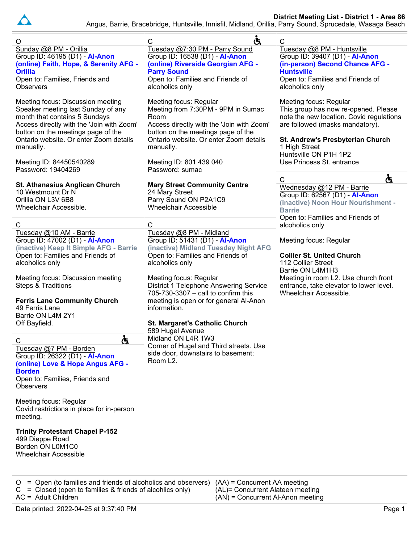

Angus, Barrie, Bracebridge, Huntsville, Innisfil, Midland, Orillia, Parry Sound, Sprucedale, Wasaga Beach

| O                                                                            | Ġ<br>C                                                                       | $\mathsf{C}$                                                                    |
|------------------------------------------------------------------------------|------------------------------------------------------------------------------|---------------------------------------------------------------------------------|
| Sunday @8 PM - Orillia<br>Group ID: 46195 (D1) - Al-Anon                     | Tuesday @7:30 PM - Parry Sound<br>Group ID: 16538 (D1) - Al-Anon             | Tuesday @8 PM - Huntsville<br>Group ID: 39407 (D1) - Al-Anon                    |
| (online) Faith, Hope, & Serenity AFG -                                       | (online) Riverside Georgian AFG -                                            | (in-person) Second Chance AFG -                                                 |
| <b>Orillia</b>                                                               | <b>Parry Sound</b>                                                           | <b>Huntsville</b>                                                               |
| Open to: Families, Friends and<br>Observers                                  | Open to: Families and Friends of<br>alcoholics only                          | Open to: Families and Friends of<br>alcoholics only                             |
|                                                                              |                                                                              |                                                                                 |
| Meeting focus: Discussion meeting<br>Speaker meeting last Sunday of any      | Meeting focus: Regular<br>Meeting from 7:30PM - 9PM in Sumac                 | Meeting focus: Regular<br>This group has now re-opened. Please                  |
| month that contains 5 Sundays                                                | Room                                                                         | note the new location. Covid regulations                                        |
| Access directly with the 'Join with Zoom'                                    | Access directly with the 'Join with Zoom'                                    | are followed (masks mandatory).                                                 |
| button on the meetings page of the<br>Ontario website. Or enter Zoom details | button on the meetings page of the<br>Ontario website. Or enter Zoom details | St. Andrew's Presbyterian Church                                                |
| manually.                                                                    | manually.                                                                    | 1 High Street                                                                   |
| Meeting ID: 84450540289                                                      | Meeting ID: 801 439 040                                                      | Huntsville ON P1H 1P2<br>Use Princess St. entrance                              |
| Password: 19404269                                                           | Password: sumac                                                              |                                                                                 |
|                                                                              |                                                                              | Ġ<br>C                                                                          |
| <b>St. Athanasius Anglican Church</b><br>10 Westmount Dr N                   | <b>Mary Street Community Centre</b><br>24 Mary Street                        | Wednesday @12 PM - Barrie<br>Group ID: 62567 (D1) - Al-Anon                     |
| Orillia ON L3V 6B8                                                           | Parry Sound ON P2A1C9                                                        | (inactive) Noon Hour Nourishment -                                              |
| Wheelchair Accessible.                                                       | <b>Wheelchair Accessible</b>                                                 | <b>Barrie</b>                                                                   |
| С                                                                            | C                                                                            | Open to: Families and Friends of<br>alcoholics only                             |
| Tuesday @10 AM - Barrie                                                      | Tuesday @8 PM - Midland                                                      |                                                                                 |
| Group ID: 47002 (D1) - Al-Anon                                               | Group ID: 51431 (D1) - Al-Anon                                               | Meeting focus: Regular                                                          |
| (inactive) Keep It Simple AFG - Barrie<br>Open to: Families and Friends of   | (inactive) Midland Tuesday Night AFG<br>Open to: Families and Friends of     | <b>Collier St. United Church</b>                                                |
| alcoholics only                                                              | alcoholics only                                                              | 112 Collier Street                                                              |
|                                                                              |                                                                              | Barrie ON L4M1H3                                                                |
| Meeting focus: Discussion meeting<br><b>Steps &amp; Traditions</b>           | Meeting focus: Regular<br>District 1 Telephone Answering Service             | Meeting in room L2. Use church front<br>entrance, take elevator to lower level. |
|                                                                              | 705-730-3307 - call to confirm this                                          | Wheelchair Accessible.                                                          |
| <b>Ferris Lane Community Church</b><br>49 Ferris Lane                        | meeting is open or for general Al-Anon<br>information.                       |                                                                                 |

**St. Margaret's Catholic Church**

Corner of Hugel and Third streets. Use side door, downstairs to basement;

589 Hugel Avenue Midland ON L4R 1W3

Room L2.

Ġ

49 Ferris Lane Barrie ON L4M 2Y1 Off Bayfield.

C

# Tuesday @7 PM - Borden Group ID: 26322 (D1) - **Al-Anon (online) Love & Hope Angus AFG - Borden**

Open to: Families, Friends and **Observers** 

Meeting focus: Regular Covid restrictions in place for in-person meeting.

#### **Trinity Protestant Chapel P-152** 499 Dieppe Road

Borden ON L0M1C0 Wheelchair Accessible

AC = Adult Children

O = Open (to families and friends of alcoholics and observers) (AA) = Concurrent AA meeting (AL)= Concurrent Alateen meeting (AN) = Concurrent Al-Anon meeting

 $C = Closed$  (open to families & friends of alcohlics only)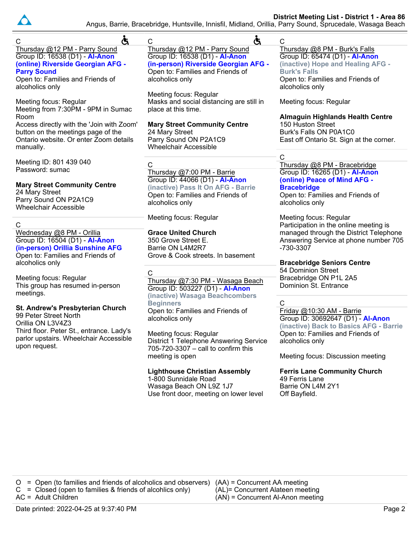

# Angus, Barrie, Bracebridge, Huntsville, Innisfil, Midland, Orillia, Parry Sound, Sprucedale, Wasaga Beach

| Ġ<br>C                                                                                                                                                                                                         | Ġ<br>$\mathsf C$                                                                                                                                                                                            | С                                                                                                                                                                                                    |
|----------------------------------------------------------------------------------------------------------------------------------------------------------------------------------------------------------------|-------------------------------------------------------------------------------------------------------------------------------------------------------------------------------------------------------------|------------------------------------------------------------------------------------------------------------------------------------------------------------------------------------------------------|
| Thursday @12 PM - Parry Sound<br>Group ID: 16538 (D1) - Al-Anon<br>(online) Riverside Georgian AFG -<br><b>Parry Sound</b><br>Open to: Families and Friends of<br>alcoholics only                              | Thursday @12 PM - Parry Sound<br>Group ID: 16538 (D1) - Al-Anon<br>(in-person) Riverside Georgian AFG -<br>Open to: Families and Friends of<br>alcoholics only                                              | Thursday @8 PM - Burk's Falls<br>Group ID: 65474 (D1) - Al-Anon<br>(inactive) Hope and Healing AFG -<br><b>Burk's Falls</b><br>Open to: Families and Friends of<br>alcoholics only                   |
| Meeting focus: Regular<br>Meeting from 7:30PM - 9PM in Sumac<br>Room<br>Access directly with the 'Join with Zoom'<br>button on the meetings page of the<br>Ontario website. Or enter Zoom details<br>manually. | Meeting focus: Regular<br>Masks and social distancing are still in<br>place at this time.<br><b>Mary Street Community Centre</b><br>24 Mary Street<br>Parry Sound ON P2A1C9<br><b>Wheelchair Accessible</b> | Meeting focus: Regular<br><b>Almaguin Highlands Health Centre</b><br>150 Huston Street<br>Burk's Falls ON P0A1C0<br>East off Ontario St. Sign at the corner.<br>C                                    |
| Meeting ID: 801 439 040<br>Password: sumac<br><b>Mary Street Community Centre</b><br>24 Mary Street<br>Parry Sound ON P2A1C9<br><b>Wheelchair Accessible</b>                                                   | $\mathsf C$<br>Thursday @7:00 PM - Barrie<br>Group ID: 44066 (D1) - Al-Anon<br>(inactive) Pass It On AFG - Barrie<br>Open to: Families and Friends of<br>alcoholics only                                    | Thursday @8 PM - Bracebridge<br>Group ID: 16265 (D1) - Al-Anon<br>(online) Peace of Mind AFG -<br><b>Bracebridge</b><br>Open to: Families and Friends of<br>alcoholics only                          |
| $\mathsf C$<br>Wednesday @8 PM - Orillia<br>Group ID: 16504 (D1) - Al-Anon<br>(in-person) Orillia Sunshine AFG<br>Open to: Families and Friends of                                                             | Meeting focus: Regular<br><b>Grace United Church</b><br>350 Grove Street E.<br>Barrie ON L4M2R7<br>Grove & Cook streets. In basement                                                                        | Meeting focus: Regular<br>Participation in the online meeting is<br>managed through the District Telephone<br>Answering Service at phone number 705<br>-730-3307                                     |
| alcoholics only<br>Meeting focus: Regular<br>This group has resumed in-person<br>meetings.                                                                                                                     | C<br>Thursday @7:30 PM - Wasaga Beach<br>Group ID: 503227 (D1) - Al-Anon<br>(inactive) Wasaga Beachcombers<br><b>Beginners</b>                                                                              | <b>Bracebridge Seniors Centre</b><br>54 Dominion Street<br>Bracebridge ON P1L 2A5<br>Dominion St. Entrance<br>$\mathsf{C}$                                                                           |
| St. Andrew's Presbyterian Church<br>99 Peter Street North<br>Orillia ON L3V4Z3<br>Third floor. Peter St., entrance. Lady's<br>parlor upstairs. Wheelchair Accessible<br>upon request.                          | Open to: Families and Friends of<br>alcoholics only<br>Meeting focus: Regular<br>District 1 Telephone Answering Service<br>705-720-3307 - call to confirm this<br>meeting is open                           | Friday @10:30 AM - Barrie<br>Group ID: 30692647 (D1) - Al-Anon<br>(inactive) Back to Basics AFG - Barrie<br>Open to: Families and Friends of<br>alcoholics only<br>Meeting focus: Discussion meeting |
|                                                                                                                                                                                                                | <b>Lighthouse Christian Assembly</b><br>1-800 Sunnidale Road<br>Wasaga Beach ON L9Z 1J7<br>Use front door, meeting on lower level                                                                           | <b>Ferris Lane Community Church</b><br>49 Ferris Lane<br>Barrie ON L4M 2Y1<br>Off Bayfield.                                                                                                          |
|                                                                                                                                                                                                                |                                                                                                                                                                                                             |                                                                                                                                                                                                      |

O = Open (to families and friends of alcoholics and observers) (AA) = Concurrent AA meeting  $C = Closed$  (open to families & friends of alcohlics only) AC = Adult Children (AL)= Concurrent Alateen meeting (AN) = Concurrent Al-Anon meeting